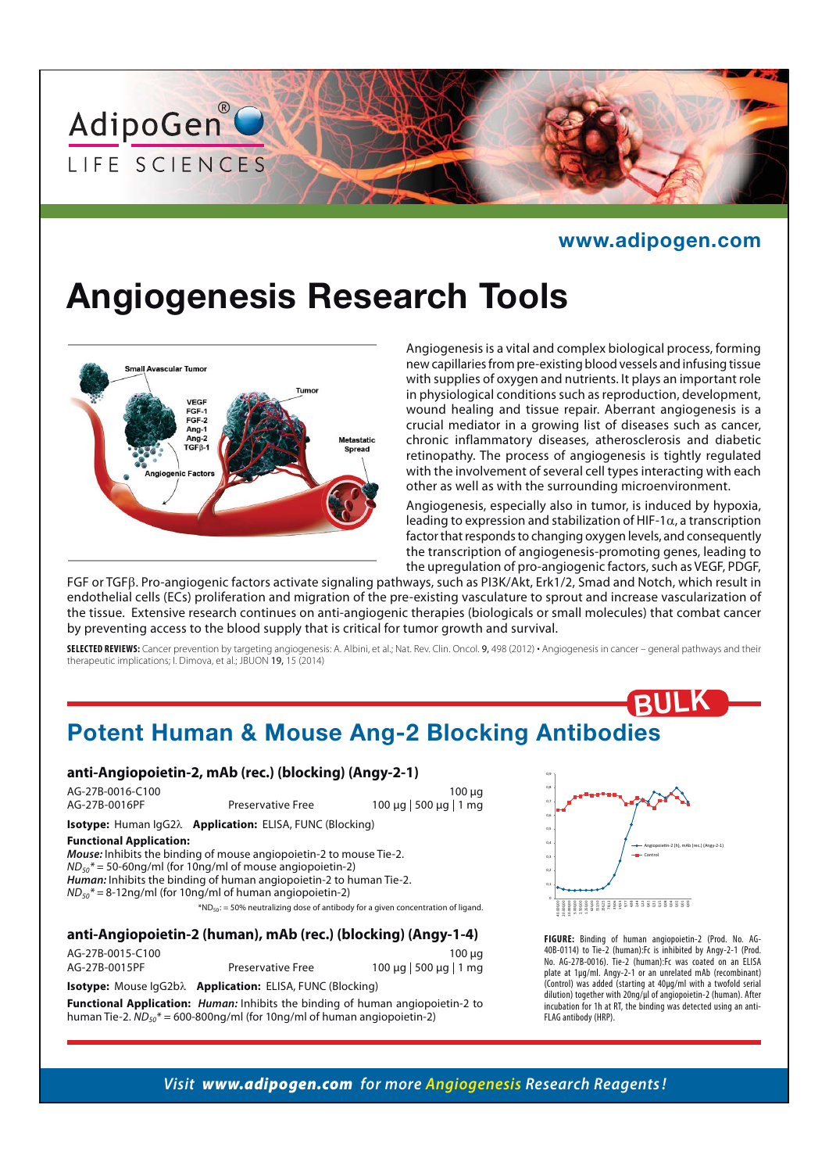

#### **www.adipogen.com**

# **Angiogenesis Research Tools**



Angiogenesis is a vital and complex biological process, forming new capillaries from pre-existing blood vessels and infusing tissue with supplies of oxygen and nutrients. It plays an important role in physiological conditions such as reproduction, development, wound healing and tissue repair. Aberrant angiogenesis is a crucial mediator in a growing list of diseases such as cancer, chronic inflammatory diseases, atherosclerosis and diabetic retinopathy. The process of angiogenesis is tightly regulated with the involvement of several cell types interacting with each other as well as with the surrounding microenvironment.

Angiogenesis, especially also in tumor, is induced by hypoxia, leading to expression and stabilization of HIF-1 $\alpha$ , a transcription factor that responds to changing oxygen levels, and consequently the transcription of angiogenesis-promoting genes, leading to the upregulation of pro-angiogenic factors, such as VEGF, PDGF,

FGF or TGFB. Pro-angiogenic factors activate signaling pathways, such as PI3K/Akt, Erk1/2, Smad and Notch, which result in endothelial cells (ECs) proliferation and migration of the pre-existing vasculature to sprout and increase vascularization of the tissue. Extensive research continues on anti-angiogenic therapies (biologicals or small molecules) that combat cancer by preventing access to the blood supply that is critical for tumor growth and survival.

**SELECTED REVIEWS:** Cancer prevention by targeting angiogenesis: A. Albini, et al.; Nat. Rev. Clin. Oncol. 9, 498 (2012) **·** Angiogenesis in cancer – general pathways and their therapeutic implications; I. Dimova, et al.; JBUON 19, 15 (2014)

## **Potent Human & Mouse Ang-2 Blocking Antibodies**

#### **anti-Angiopoietin-2, mAb (rec.) (blocking) (Angy-2-1)**

AG-27B-0016-C100 100 μg AG-27B-0016PF Preservative Free 100 μg | 500 μg | 1 mg

**Isotype:** Human IgG2 $\lambda$  **Application:** ELISA, FUNC (Blocking)

#### **Functional Application:**

*Mouse:* Inhibits the binding of mouse angiopoietin-2 to mouse Tie-2.  $ND_{50}$ \* = 50-60ng/ml (for 10ng/ml of mouse angiopoietin-2) *Human:* Inhibits the binding of human angiopoietin-2 to human Tie-2.  $ND_{50}$ \* = 8-12ng/ml (for 10ng/ml of human angiopoietin-2)  $*ND<sub>50</sub>$ : = 50% neutralizing dose of antibody for a given concentration of ligand.

#### **anti-Angiopoietin-2 (human), mAb (rec.) (blocking) (Angy-1-4)**

AG-27B-0015-C100 100 μg Preservative Free 100 μg | 500 μg | 1 mg

**Isotype:** Mouse IgG2b<sub>2</sub> **Application:** ELISA, FUNC (Blocking)

**Functional Application:** *Human:* Inhibits the binding of human angiopoietin-2 to human Tie-2.  $ND_{50}$ \* = 600-800ng/ml (for 10ng/ml of human angiopoietin-2)



**BULK**

**FIGURE:** Binding of human angiopoietin-2 (Prod. No. AG-40B-0114) to Tie-2 (human):Fc is inhibited by Angy-2-1 (Prod. No. AG-27B-0016). Tie-2 (human):Fc was coated on an ELISA plate at 1μg/ml. Angy-2-1 or an unrelated mAb (recombinant) (Control) was added (starting at 40μg/ml with a twofold serial dilution) together with 20ng/μl of angiopoietin-2 (human). After incubation for 1h at RT, the binding was detected using an anti-FLAG antibody (HRP).

*Visit www.adipogen.com for more Angiogenesis Research Reagents !*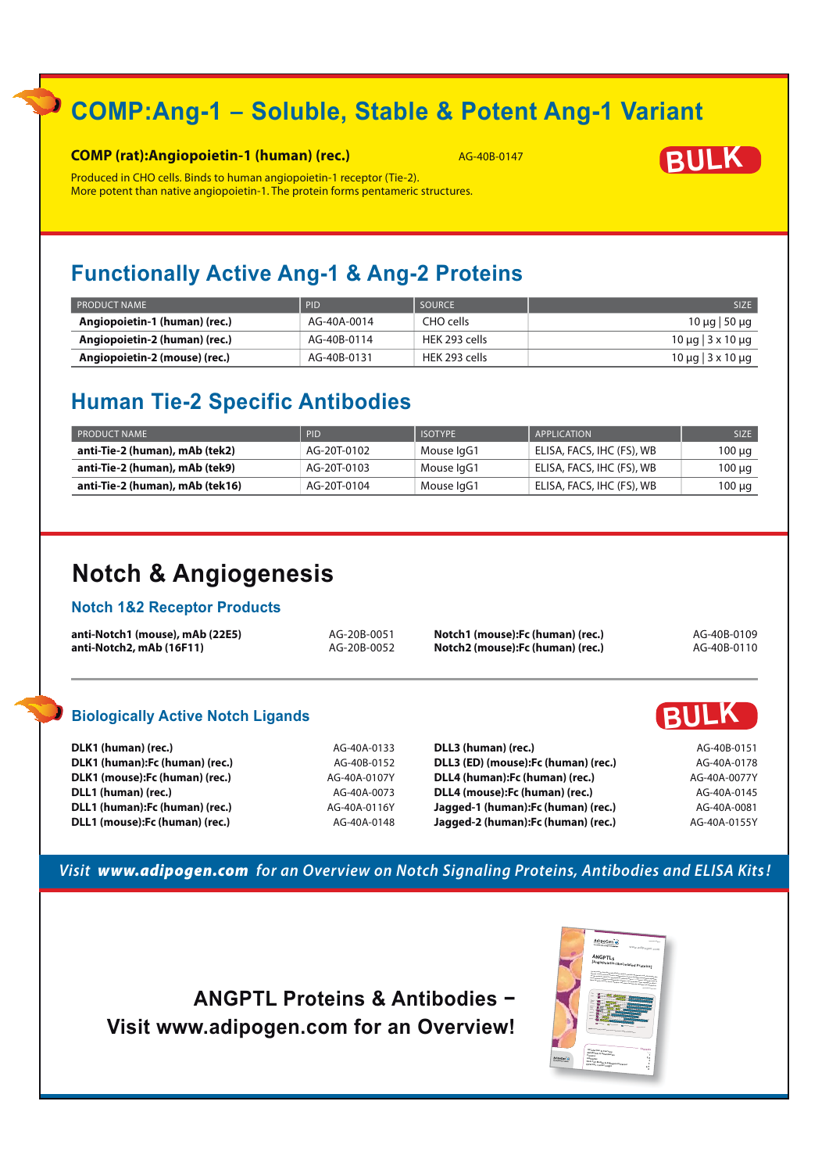# **COMP:Ang-1 − Soluble, Stable & Potent Ang-1 Variant**

#### **COMP (rat):Angiopoietin-1 (human) (rec.)** AG-40B-0147



Produced in CHO cells. Binds to human angiopoietin-1 receptor (Tie-2). More potent than native angiopoietin-1. The protein forms pentameric structures.

### **Functionally Active Ang-1 & Ang-2 Proteins**

| $\overline{\phantom{a}}$ PRODUCT NAME | <b>PID</b>  | SOURCE        | <b>SIZE</b>                    |
|---------------------------------------|-------------|---------------|--------------------------------|
| Angiopoietin-1 (human) (rec.)         | AG-40A-0014 | CHO cells     | 10 μg   50 μg                  |
| Angiopoietin-2 (human) (rec.)         | AG-40B-0114 | HEK 293 cells | $10 \mu q$ $3 \times 10 \mu q$ |
| Angiopoietin-2 (mouse) (rec.)         | AG-40B-0131 | HEK 293 cells | $10 \mu q$ $3 \times 10 \mu q$ |

### **Human Tie-2 Specific Antibodies**

| <b>PRODUCT NAME</b>             | <b>PID</b>  | <b>ISOTYPE</b> | APPLICATION               | <b>SIZE</b> |
|---------------------------------|-------------|----------------|---------------------------|-------------|
| anti-Tie-2 (human), mAb (tek2)  | AG-20T-0102 | Mouse IgG1     | ELISA, FACS, IHC (FS), WB | 100 µg      |
| anti-Tie-2 (human), mAb (tek9)  | AG-20T-0103 | Mouse IgG1     | ELISA, FACS, IHC (FS), WB | 100 µg      |
| anti-Tie-2 (human), mAb (tek16) | AG-20T-0104 | Mouse IgG1     | ELISA, FACS, IHC (FS), WB | 100 µg      |

## **Notch & Angiogenesis**

#### **Notch 1&2 Receptor Products**

| anti-Notch1 (mouse), mAb (22E5) | AG-20B-0051 | Notch1 (mouse):Fc (human) (rec.) | AG-40B-0109 |
|---------------------------------|-------------|----------------------------------|-------------|
| anti-Notch2, mAb (16F11)        | AG-20B-0052 | Notch2 (mouse):Fc (human) (rec.) | AG-40B-0110 |

### **Biologically Active Notch Ligands BULK**

| DLK1 (human) (rec.)            | AG-40A-0133  | DLL3 (human) (rec.)                  | AG-40B-0151  |
|--------------------------------|--------------|--------------------------------------|--------------|
| DLK1 (human):Fc (human) (rec.) | AG-40B-0152  | DLL3 (ED) (mouse): Fc (human) (rec.) | AG-40A-0178  |
| DLK1 (mouse):Fc (human) (rec.) | AG-40A-0107Y | DLL4 (human): Fc (human) (rec.)      | AG-40A-0077Y |
| DLL1 (human) (rec.)            | AG-40A-0073  | DLL4 (mouse): Fc (human) (rec.)      | AG-40A-0145  |
| DLL1 (human):Fc (human) (rec.) | AG-40A-0116Y | Jagged-1 (human): Fc (human) (rec.)  | AG-40A-0081  |
| DLL1 (mouse):Fc (human) (rec.) | AG-40A-0148  | Jagged-2 (human): Fc (human) (rec.)  | AG-40A-0155Y |

#### *Visit www.adipogen.com for an Overview on Notch Signaling Proteins, Antibodies and ELISA Kits !*

ANGPTL Proteins & Antibodies – **Visit www.adipogen.com for an Overview!**

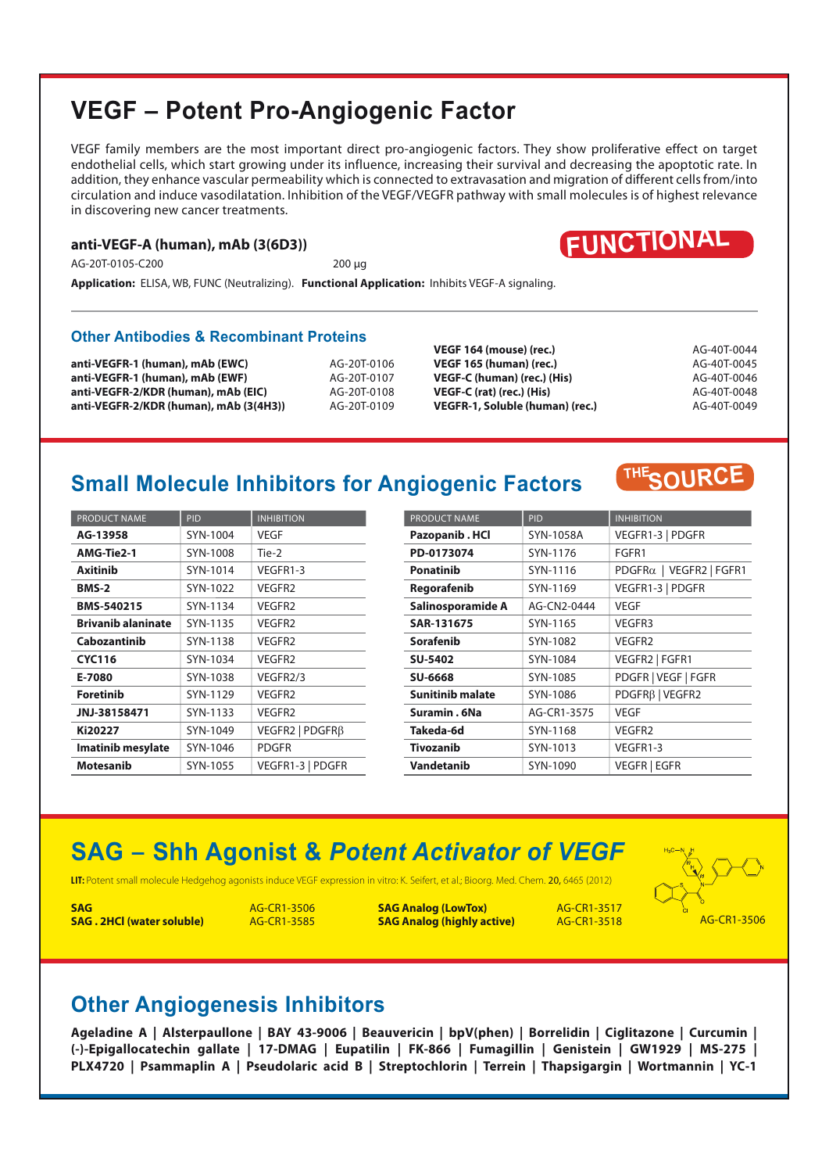### **VEGF – Potent Pro-Angiogenic Factor**

VEGF family members are the most important direct pro-angiogenic factors. They show proliferative effect on target endothelial cells, which start growing under its influence, increasing their survival and decreasing the apoptotic rate. In addition, they enhance vascular permeability which is connected to extravasation and migration of different cells from/into circulation and induce vasodilatation. Inhibition of the VEGF/VEGFR pathway with small molecules is of highest relevance in discovering new cancer treatments.

#### **anti-VEGF-A (human), mAb (3(6D3))**

AG-20T-0105-C200 200 μg



**Application:** ELISA, WB, FUNC (Neutralizing). **Functional Application:** Inhibits VEGF-A signaling.

#### **Other Antibodies & Recombinant Proteins**

**anti-VEGFR-1 (human), mAb (EWC)** AG-20T-0106 **anti-VEGFR-1 (human), mAb (EWF)** AG-20T-0107 **anti-VEGFR-2/KDR (human), mAb (EIC)** AG-20T-0108 **anti-VEGFR-2/KDR (human), mAb (3(4H3))** AG-20T-0109

**VEGF 164 (mouse) (rec.)** AG-40T-0044 **VEGF 165 (human) (rec.)** AG-40T-0045 **VEGF-C (human) (rec.) (His)** AG-40T-0046 **VEGF-C (rat) (rec.) (His)** AG-40T-0048 **VEGFR-1, Soluble (human) (rec.)** AG-40T-0049

**SOURCE THE**

### **Small Molecule Inhibitors for Angiogenic Factors**

| <b>PRODUCT NAME</b>       | <b>PID</b> | <b>INHIBITION</b>  |
|---------------------------|------------|--------------------|
| AG-13958                  | SYN-1004   | <b>VEGF</b>        |
| AMG-Tie2-1                | SYN-1008   | Tie-2              |
| <b>Axitinib</b>           | SYN-1014   | VEGFR1-3           |
| <b>BMS-2</b>              | SYN-1022   | VEGFR2             |
| <b>BMS-540215</b>         | SYN-1134   | VEGFR2             |
| <b>Brivanib alaninate</b> | SYN-1135   | VFGFR <sub>2</sub> |
| Cabozantinib              | SYN-1138   | VEGFR2             |
| <b>CYC116</b>             | SYN-1034   | VFGFR <sub>2</sub> |
| E-7080                    | SYN-1038   | VEGFR2/3           |
| <b>Foretinib</b>          | SYN-1129   | VFGFR <sub>2</sub> |
| JNJ-38158471              | SYN-1133   | VEGFR2             |
| Ki20227                   | SYN-1049   | VEGFR2   PDGFRβ    |
| <b>Imatinib mesylate</b>  | SYN-1046   | PDGFR              |
| <b>Motesanib</b>          | SYN-1055   | VEGFR1-3   PDGFR   |

| <b>PRODUCT NAME</b>     | PID         | <b>INHIBITION</b>                       |
|-------------------------|-------------|-----------------------------------------|
| Pazopanib . HCl         | SYN-1058A   | VEGFR1-3   PDGFR                        |
| PD-0173074              | SYN-1176    | FGFR1                                   |
| <b>Ponatinib</b>        | SYN-1116    | $PDGFR\alpha$   VEGFR2   FGFR1          |
| Regorafenib             | SYN-1169    | VEGFR1-3   PDGFR                        |
| Salinosporamide A       | AG-CN2-0444 | VEGF                                    |
| SAR-131675              | SYN-1165    | VEGFR3                                  |
| Sorafenib               | SYN-1082    | VEGFR2                                  |
| <b>SU-5402</b>          | SYN-1084    | VEGFR2   FGFR1                          |
| <b>SU-6668</b>          | SYN-1085    | PDGFR   VEGF   FGFR                     |
| <b>Sunitinib malate</b> | SYN-1086    | PDGFR <sub>B</sub>   VEGFR <sub>2</sub> |
| Suramin, 6Na            | AG-CR1-3575 | VEGF                                    |
| Takeda-6d               | SYN-1168    | VEGFR2                                  |
| <b>Tivozanib</b>        | SYN-1013    | VEGFR1-3                                |
| Vandetanib              | SYN-1090    | VEGFR   EGFR                            |

# **SAG − Shh Agonist &** *Potent Activator of VEGF*

**LIT:** Potent small molecule Hedgehog agonists induce VEGF expression in vitro: K. Seifert, et al.; Bioorg. Med. Chem. 20, 6465 (2012)

**SAG AG-CR1-3506 SAG. 2HCl (water soluble)** AG-CR1-3585

**SAG Analog (LowTox)** AG-CR1-3517 **SAG Analog (highly active)** AG-CR1-3518 AG-CR1-3506



### **Other Angiogenesis Inhibitors**

**Ageladine A | Alsterpaullone | BAY 43-9006 | Beauvericin | bpV(phen) | Borrelidin | Ciglitazone | Curcumin | (-)-Epigallocatechin gallate | 17-DMAG | Eupatilin | FK-866 | Fumagillin | Genistein | GW1929 | MS-275 | PLX4720 | Psammaplin A | Pseudolaric acid B | Streptochlorin | Terrein | Thapsigargin | Wortmannin | YC-1**